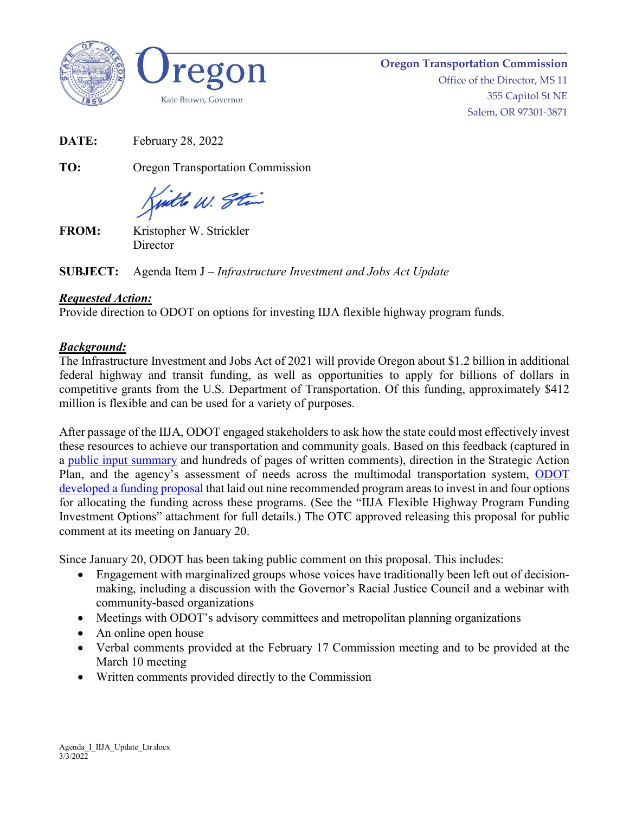



**Oregon Transportation Commission** Office of the Director, MS 11 355 Capitol St NE Salem, OR 97301-3871

**DATE:** February 28, 2022

**TO:** Oregon Transportation Commission

juitte W. Stin

**FROM:** Kristopher W. Strickler **Director** 

**SUBJECT:** Agenda Item J – *Infrastructure Investment and Jobs Act Update*

## *Requested Action:*

Provide direction to ODOT on options for investing IIJA flexible highway program funds.

## *Background:*

The Infrastructure Investment and Jobs Act of 2021 will provide Oregon about \$1.2 billion in additional federal highway and transit funding, as well as opportunities to apply for billions of dollars in competitive grants from the U.S. Department of Transportation. Of this funding, approximately \$412 million is flexible and can be used for a variety of purposes.

After passage of the IIJA, ODOT engaged stakeholders to ask how the state could most effectively invest these resources to achieve our transportation and community goals. Based on this feedback (captured in a [public input summary](https://www.oregon.gov/odot/Get-Involved/OTCSupportMaterials/Agenda_K_IIJA_PACKET.pdf) and hundreds of pages of written comments), direction in the Strategic Action Plan, and the agency's assessment of needs across the multimodal transportation system, ODOT [developed a funding proposal](https://www.oregon.gov/odot/Get-Involved/OTCSupportMaterials/Agenda_K_IIJA_PACKET.pdf) that laid out nine recommended program areas to invest in and four options for allocating the funding across these programs. (See the "IIJA Flexible Highway Program Funding Investment Options" attachment for full details.) The OTC approved releasing this proposal for public comment at its meeting on January 20.

Since January 20, ODOT has been taking public comment on this proposal. This includes:

- Engagement with marginalized groups whose voices have traditionally been left out of decisionmaking, including a discussion with the Governor's Racial Justice Council and a webinar with community-based organizations
- Meetings with ODOT's advisory committees and metropolitan planning organizations
- An online open house
- Verbal comments provided at the February 17 Commission meeting and to be provided at the March 10 meeting
- Written comments provided directly to the Commission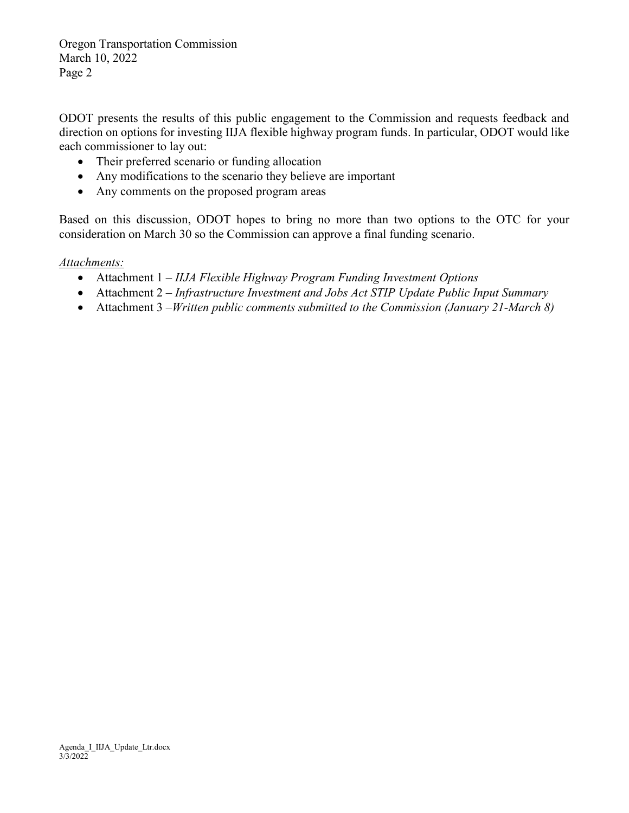Oregon Transportation Commission March 10, 2022 Page 2

ODOT presents the results of this public engagement to the Commission and requests feedback and direction on options for investing IIJA flexible highway program funds. In particular, ODOT would like each commissioner to lay out:

- Their preferred scenario or funding allocation
- Any modifications to the scenario they believe are important
- Any comments on the proposed program areas

Based on this discussion, ODOT hopes to bring no more than two options to the OTC for your consideration on March 30 so the Commission can approve a final funding scenario.

#### *Attachments:*

- Attachment 1 *IIJA Flexible Highway Program Funding Investment Options*
- Attachment 2 *Infrastructure Investment and Jobs Act STIP Update Public Input Summary*
- Attachment 3 –*Written public comments submitted to the Commission (January 21-March 8)*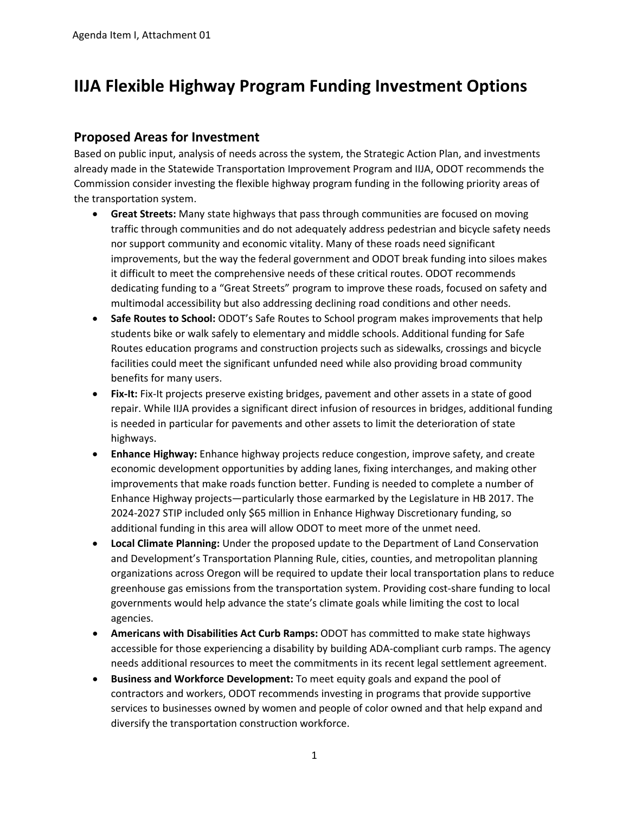## **IIJA Flexible Highway Program Funding Investment Options**

## **Proposed Areas for Investment**

Based on public input, analysis of needs across the system, the Strategic Action Plan, and investments already made in the Statewide Transportation Improvement Program and IIJA, ODOT recommends the Commission consider investing the flexible highway program funding in the following priority areas of the transportation system.

- **Great Streets:** Many state highways that pass through communities are focused on moving traffic through communities and do not adequately address pedestrian and bicycle safety needs nor support community and economic vitality. Many of these roads need significant improvements, but the way the federal government and ODOT break funding into siloes makes it difficult to meet the comprehensive needs of these critical routes. ODOT recommends dedicating funding to a "Great Streets" program to improve these roads, focused on safety and multimodal accessibility but also addressing declining road conditions and other needs.
- **Safe Routes to School:** ODOT's Safe Routes to School program makes improvements that help students bike or walk safely to elementary and middle schools. Additional funding for Safe Routes education programs and construction projects such as sidewalks, crossings and bicycle facilities could meet the significant unfunded need while also providing broad community benefits for many users.
- **Fix-It:** Fix-It projects preserve existing bridges, pavement and other assets in a state of good repair. While IIJA provides a significant direct infusion of resources in bridges, additional funding is needed in particular for pavements and other assets to limit the deterioration of state highways.
- **Enhance Highway:** Enhance highway projects reduce congestion, improve safety, and create economic development opportunities by adding lanes, fixing interchanges, and making other improvements that make roads function better. Funding is needed to complete a number of Enhance Highway projects—particularly those earmarked by the Legislature in HB 2017. The 2024-2027 STIP included only \$65 million in Enhance Highway Discretionary funding, so additional funding in this area will allow ODOT to meet more of the unmet need.
- **Local Climate Planning:** Under the proposed update to the Department of Land Conservation and Development's Transportation Planning Rule, cities, counties, and metropolitan planning organizations across Oregon will be required to update their local transportation plans to reduce greenhouse gas emissions from the transportation system. Providing cost-share funding to local governments would help advance the state's climate goals while limiting the cost to local agencies.
- **Americans with Disabilities Act Curb Ramps:** ODOT has committed to make state highways accessible for those experiencing a disability by building ADA-compliant curb ramps. The agency needs additional resources to meet the commitments in its recent legal settlement agreement.
- **Business and Workforce Development:** To meet equity goals and expand the pool of contractors and workers, ODOT recommends investing in programs that provide supportive services to businesses owned by women and people of color owned and that help expand and diversify the transportation construction workforce.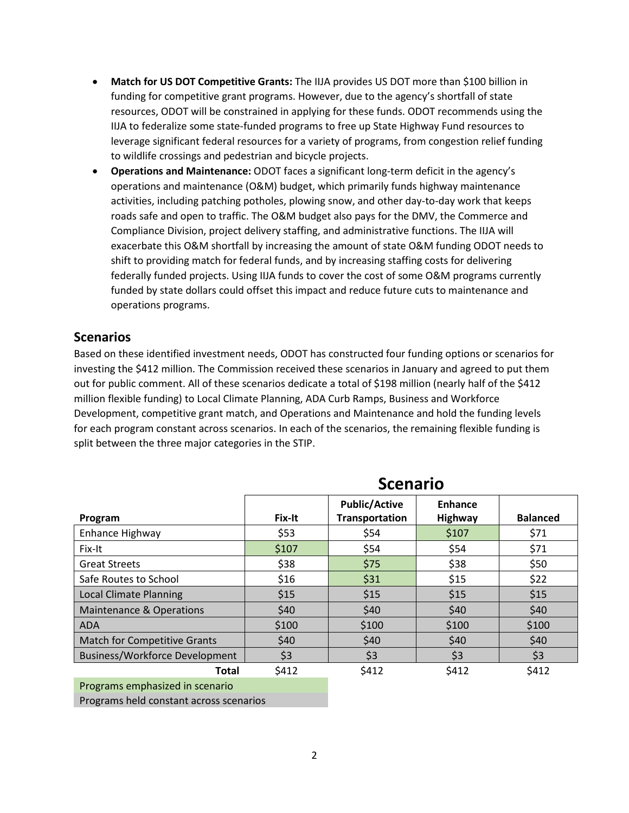- **Match for US DOT Competitive Grants:** The IIJA provides US DOT more than \$100 billion in funding for competitive grant programs. However, due to the agency's shortfall of state resources, ODOT will be constrained in applying for these funds. ODOT recommends using the IIJA to federalize some state-funded programs to free up State Highway Fund resources to leverage significant federal resources for a variety of programs, from congestion relief funding to wildlife crossings and pedestrian and bicycle projects.
- **Operations and Maintenance:** ODOT faces a significant long-term deficit in the agency's operations and maintenance (O&M) budget, which primarily funds highway maintenance activities, including patching potholes, plowing snow, and other day-to-day work that keeps roads safe and open to traffic. The O&M budget also pays for the DMV, the Commerce and Compliance Division, project delivery staffing, and administrative functions. The IIJA will exacerbate this O&M shortfall by increasing the amount of state O&M funding ODOT needs to shift to providing match for federal funds, and by increasing staffing costs for delivering federally funded projects. Using IIJA funds to cover the cost of some O&M programs currently funded by state dollars could offset this impact and reduce future cuts to maintenance and operations programs.

### **Scenarios**

Based on these identified investment needs, ODOT has constructed four funding options or scenarios for investing the \$412 million. The Commission received these scenarios in January and agreed to put them out for public comment. All of these scenarios dedicate a total of \$198 million (nearly half of the \$412 million flexible funding) to Local Climate Planning, ADA Curb Ramps, Business and Workforce Development, competitive grant match, and Operations and Maintenance and hold the funding levels for each program constant across scenarios. In each of the scenarios, the remaining flexible funding is split between the three major categories in the STIP.

|                                       | <b>Scenario</b> |                                        |                           |                 |  |
|---------------------------------------|-----------------|----------------------------------------|---------------------------|-----------------|--|
| Program                               | Fix-It          | <b>Public/Active</b><br>Transportation | Enhance<br><b>Highway</b> | <b>Balanced</b> |  |
| Enhance Highway                       | \$53            | \$54                                   | \$107                     | \$71            |  |
| Fix-It                                | \$107           | \$54                                   | \$54                      | \$71            |  |
| <b>Great Streets</b>                  | \$38            | \$75                                   | \$38                      | \$50            |  |
| Safe Routes to School                 | \$16            | \$31                                   | \$15                      | \$22            |  |
| <b>Local Climate Planning</b>         | \$15            | \$15                                   | \$15                      | \$15            |  |
| <b>Maintenance &amp; Operations</b>   | \$40            | \$40                                   | \$40                      | \$40            |  |
| <b>ADA</b>                            | \$100           | \$100                                  | \$100                     | \$100           |  |
| <b>Match for Competitive Grants</b>   | \$40            | \$40                                   | \$40                      | \$40            |  |
| <b>Business/Workforce Development</b> | \$3             | \$3                                    | \$3                       | \$3             |  |
| <b>Total</b>                          | \$412           | \$412                                  | \$412                     | \$412           |  |

Programs emphasized in scenario

Programs held constant across scenarios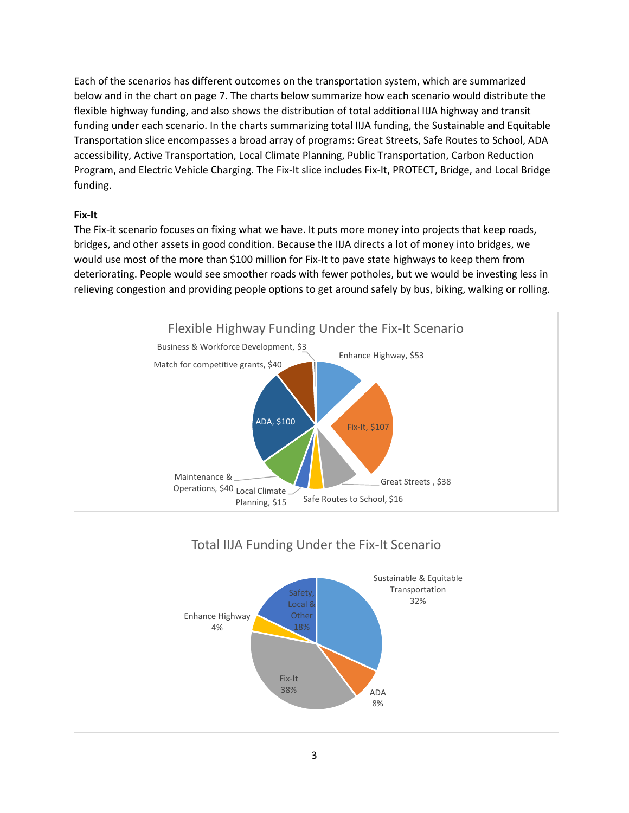Each of the scenarios has different outcomes on the transportation system, which are summarized below and in the chart on page 7. The charts below summarize how each scenario would distribute the flexible highway funding, and also shows the distribution of total additional IIJA highway and transit funding under each scenario. In the charts summarizing total IIJA funding, the Sustainable and Equitable Transportation slice encompasses a broad array of programs: Great Streets, Safe Routes to School, ADA accessibility, Active Transportation, Local Climate Planning, Public Transportation, Carbon Reduction Program, and Electric Vehicle Charging. The Fix-It slice includes Fix-It, PROTECT, Bridge, and Local Bridge funding.

#### **Fix-It**

The Fix-it scenario focuses on fixing what we have. It puts more money into projects that keep roads, bridges, and other assets in good condition. Because the IIJA directs a lot of money into bridges, we would use most of the more than \$100 million for Fix-It to pave state highways to keep them from deteriorating. People would see smoother roads with fewer potholes, but we would be investing less in relieving congestion and providing people options to get around safely by bus, biking, walking or rolling.



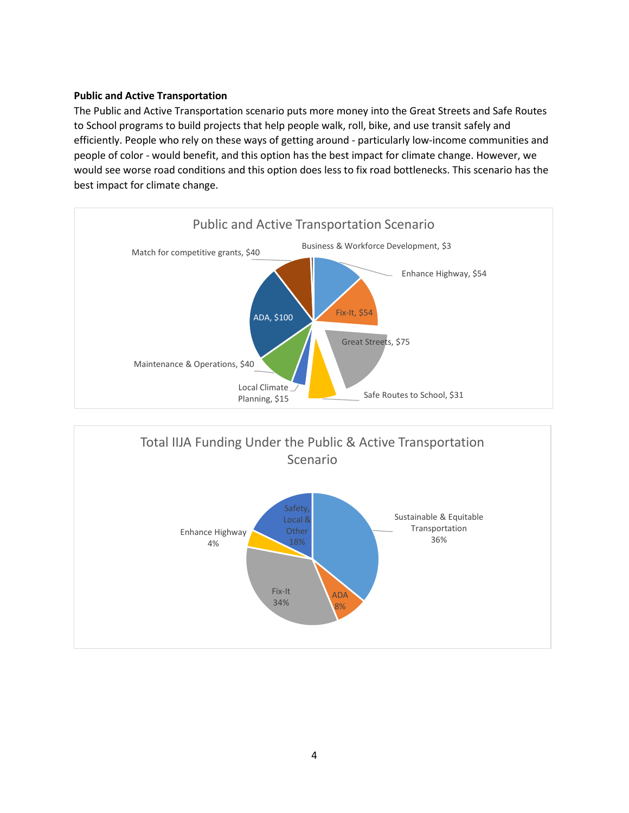#### **Public and Active Transportation**

The Public and Active Transportation scenario puts more money into the Great Streets and Safe Routes to School programs to build projects that help people walk, roll, bike, and use transit safely and efficiently. People who rely on these ways of getting around - particularly low-income communities and people of color - would benefit, and this option has the best impact for climate change. However, we would see worse road conditions and this option does less to fix road bottlenecks. This scenario has the best impact for climate change.



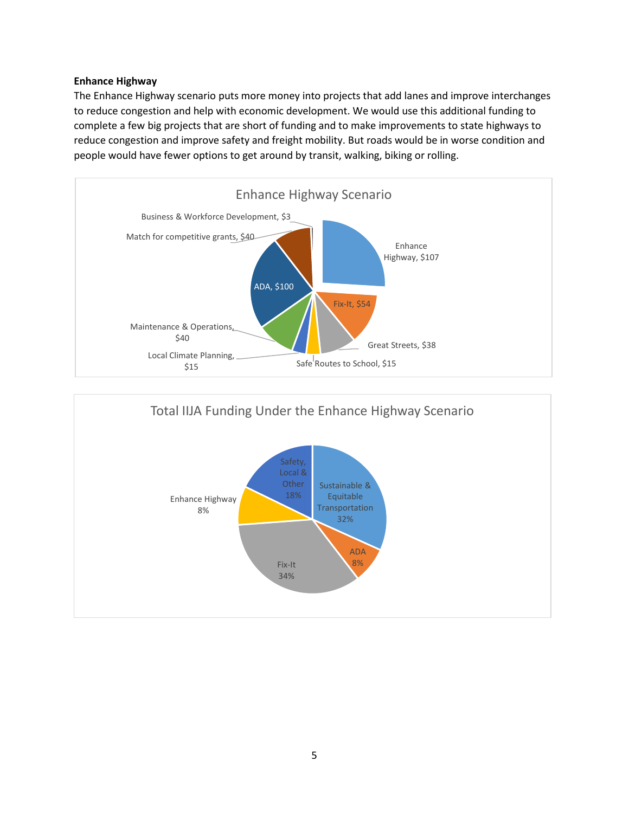#### **Enhance Highway**

The Enhance Highway scenario puts more money into projects that add lanes and improve interchanges to reduce congestion and help with economic development. We would use this additional funding to complete a few big projects that are short of funding and to make improvements to state highways to reduce congestion and improve safety and freight mobility. But roads would be in worse condition and people would have fewer options to get around by transit, walking, biking or rolling.



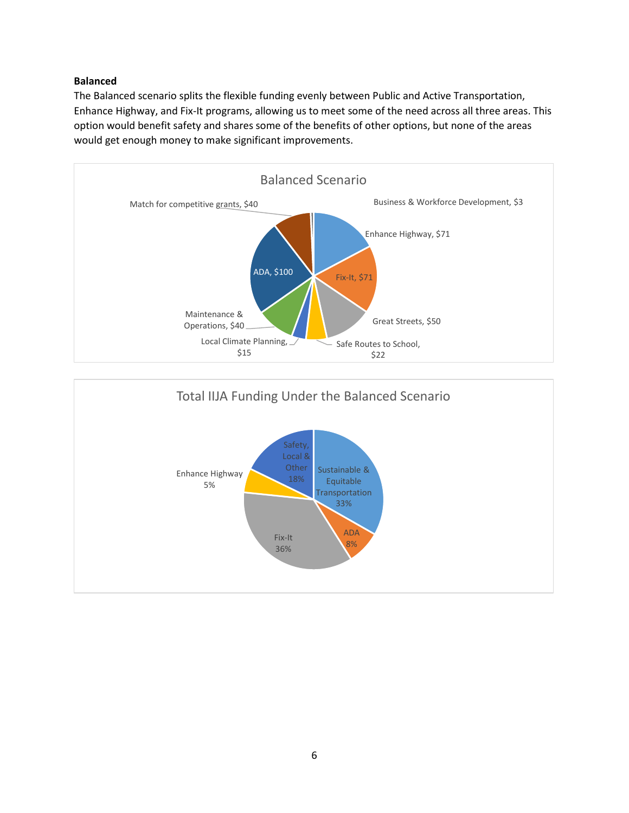#### **Balanced**

The Balanced scenario splits the flexible funding evenly between Public and Active Transportation, Enhance Highway, and Fix-It programs, allowing us to meet some of the need across all three areas. This option would benefit safety and shares some of the benefits of other options, but none of the areas would get enough money to make significant improvements.



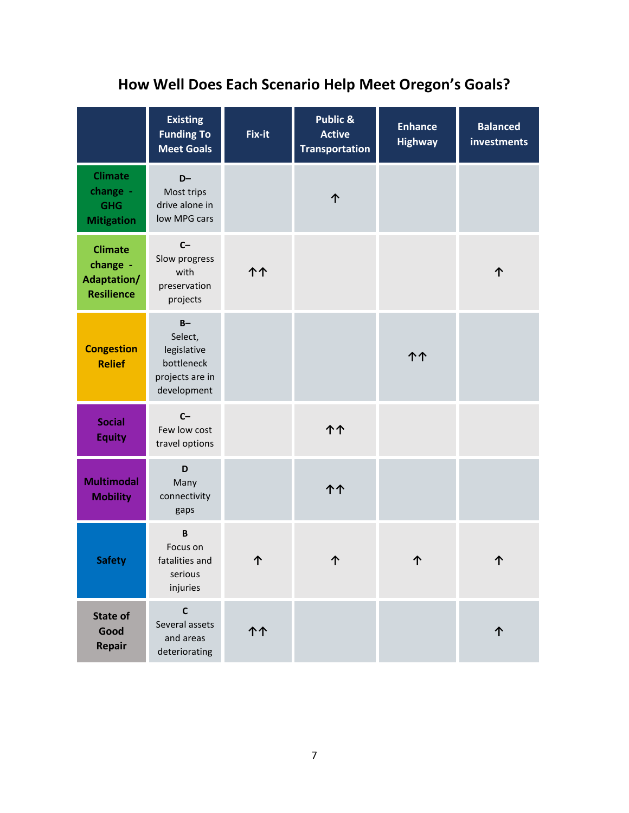# **How Well Does Each Scenario Help Meet Oregon's Goals?**

|                                                                | <b>Existing</b><br><b>Funding To</b><br><b>Meet Goals</b>                       | Fix-it | Public &<br><b>Active</b><br><b>Transportation</b> | <b>Enhance</b><br><b>Highway</b> | <b>Balanced</b><br>investments |
|----------------------------------------------------------------|---------------------------------------------------------------------------------|--------|----------------------------------------------------|----------------------------------|--------------------------------|
| <b>Climate</b><br>change -<br><b>GHG</b><br><b>Mitigation</b>  | $D-$<br>Most trips<br>drive alone in<br>low MPG cars                            |        | ጥ                                                  |                                  |                                |
| <b>Climate</b><br>change -<br>Adaptation/<br><b>Resilience</b> | $C-$<br>Slow progress<br>with<br>preservation<br>projects                       | ተ ተ    |                                                    |                                  | 个                              |
| <b>Congestion</b><br><b>Relief</b>                             | $B -$<br>Select,<br>legislative<br>bottleneck<br>projects are in<br>development |        |                                                    | ተ ተ                              |                                |
| <b>Social</b><br><b>Equity</b>                                 | $C-$<br>Few low cost<br>travel options                                          |        | <b>11</b>                                          |                                  |                                |
| <b>Multimodal</b><br><b>Mobility</b>                           | D<br>Many<br>connectivity<br>gaps                                               |        | 个个                                                 |                                  |                                |
| <b>Safety</b>                                                  | $\mathbf B$<br>Focus on<br>fatalities and<br>serious<br>injuries                | ጉ      |                                                    |                                  | 个                              |
| <b>State of</b><br>Good<br><b>Repair</b>                       | $\mathbf c$<br>Several assets<br>and areas<br>deteriorating                     | ተ ተ    |                                                    |                                  |                                |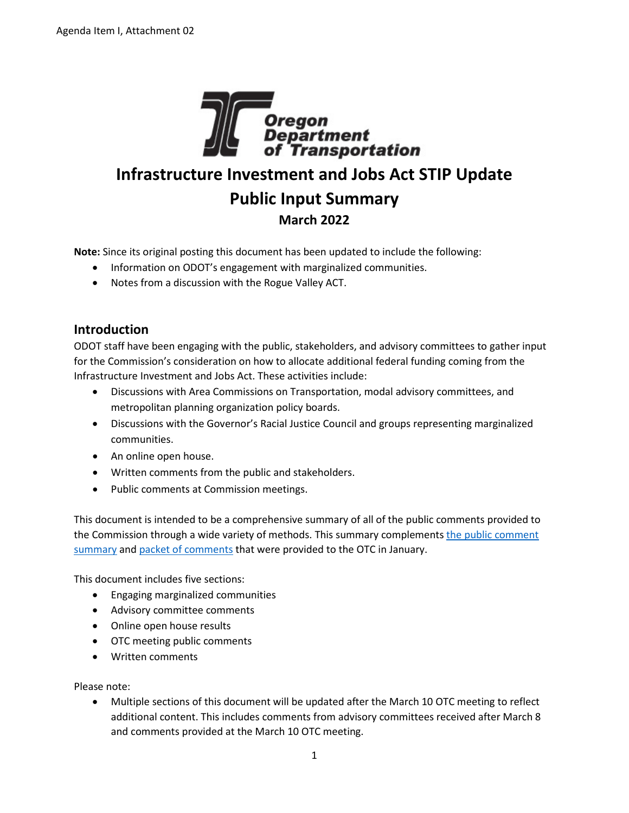

## **Infrastructure Investment and Jobs Act STIP Update Public Input Summary March 2022**

**Note:** Since its original posting this document has been updated to include the following:

- Information on ODOT's engagement with marginalized communities.
- Notes from a discussion with the Rogue Valley ACT.

## **Introduction**

ODOT staff have been engaging with the public, stakeholders, and advisory committees to gather input for the Commission's consideration on how to allocate additional federal funding coming from the Infrastructure Investment and Jobs Act. These activities include:

- Discussions with Area Commissions on Transportation, modal advisory committees, and metropolitan planning organization policy boards.
- Discussions with the Governor's Racial Justice Council and groups representing marginalized communities.
- An online open house.
- Written comments from the public and stakeholders.
- Public comments at Commission meetings.

This document is intended to be a comprehensive summary of all of the public comments provided to the Commission through a wide variety of methods. This summary complements the public comment [summary](https://www.oregon.gov/odot/Get-Involved/OTCSupportMaterials/Agenda_K_IIJA_PACKET.pdf) an[d packet of comments](https://www.oregon.gov/odot/Get-Involved/Pages/Jan-OTC-Meeting-Materials.aspx?wp2378=p:1#g_01c114f8_914b_49de_af74_13918e548861) that were provided to the OTC in January.

This document includes five sections:

- Engaging marginalized communities
- Advisory committee comments
- Online open house results
- OTC meeting public comments
- Written comments

Please note:

• Multiple sections of this document will be updated after the March 10 OTC meeting to reflect additional content. This includes comments from advisory committees received after March 8 and comments provided at the March 10 OTC meeting.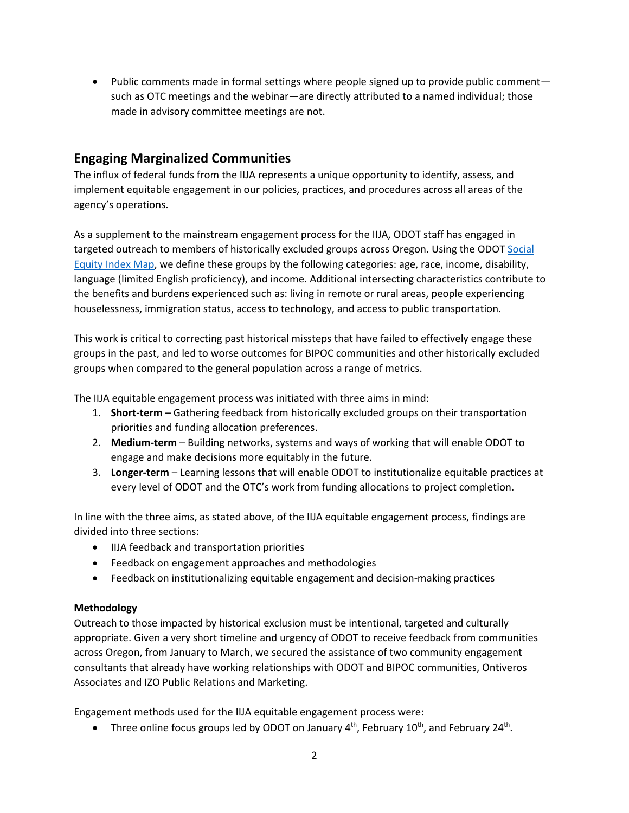• Public comments made in formal settings where people signed up to provide public comment such as OTC meetings and the webinar—are directly attributed to a named individual; those made in advisory committee meetings are not.

## **Engaging Marginalized Communities**

The influx of federal funds from the IIJA represents a unique opportunity to identify, assess, and implement equitable engagement in our policies, practices, and procedures across all areas of the agency's operations.

As a supplement to the mainstream engagement process for the IIJA, ODOT staff has engaged in targeted outreach to members of historically excluded groups across Oregon. Using the ODOT [Social](https://ordot.sharepoint.com/sites/SocialEquity/SitePages/Social-Equity-Index-Map.aspx)  [Equity Index Map,](https://ordot.sharepoint.com/sites/SocialEquity/SitePages/Social-Equity-Index-Map.aspx) we define these groups by the following categories: age, race, income, disability, language (limited English proficiency), and income. Additional intersecting characteristics contribute to the benefits and burdens experienced such as: living in remote or rural areas, people experiencing houselessness, immigration status, access to technology, and access to public transportation.

This work is critical to correcting past historical missteps that have failed to effectively engage these groups in the past, and led to worse outcomes for BIPOC communities and other historically excluded groups when compared to the general population across a range of metrics.

The IIJA equitable engagement process was initiated with three aims in mind:

- 1. **Short-term** Gathering feedback from historically excluded groups on their transportation priorities and funding allocation preferences.
- 2. **Medium-term** Building networks, systems and ways of working that will enable ODOT to engage and make decisions more equitably in the future.
- 3. **Longer-term** Learning lessons that will enable ODOT to institutionalize equitable practices at every level of ODOT and the OTC's work from funding allocations to project completion.

In line with the three aims, as stated above, of the IIJA equitable engagement process, findings are divided into three sections:

- IIJA feedback and transportation priorities
- Feedback on engagement approaches and methodologies
- Feedback on institutionalizing equitable engagement and decision-making practices

#### **Methodology**

Outreach to those impacted by historical exclusion must be intentional, targeted and culturally appropriate. Given a very short timeline and urgency of ODOT to receive feedback from communities across Oregon, from January to March, we secured the assistance of two community engagement consultants that already have working relationships with ODOT and BIPOC communities, Ontiveros Associates and IZO Public Relations and Marketing.

Engagement methods used for the IIJA equitable engagement process were:

• Three online focus groups led by ODOT on January  $4^{th}$ , February  $10^{th}$ , and February  $24^{th}$ .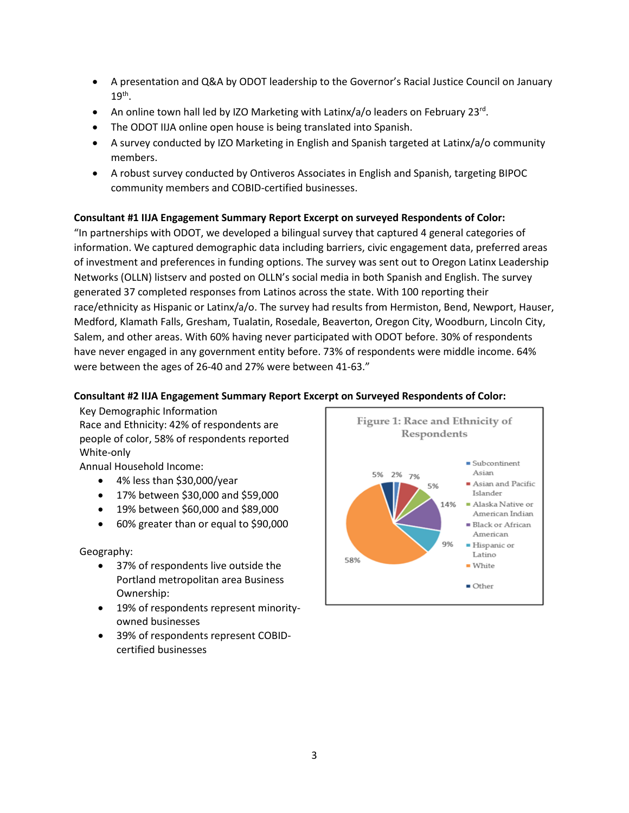- A presentation and Q&A by ODOT leadership to the Governor's Racial Justice Council on January  $19<sup>th</sup>$ .
- An online town hall led by IZO Marketing with Latinx/a/o leaders on February 23rd.
- The ODOT IIJA online open house is being translated into Spanish.
- A survey conducted by IZO Marketing in English and Spanish targeted at Latinx/a/o community members.
- A robust survey conducted by Ontiveros Associates in English and Spanish, targeting BIPOC community members and COBID-certified businesses.

#### **Consultant #1 IIJA Engagement Summary Report Excerpt on surveyed Respondents of Color:**

"In partnerships with ODOT, we developed a bilingual survey that captured 4 general categories of information. We captured demographic data including barriers, civic engagement data, preferred areas of investment and preferences in funding options. The survey was sent out to Oregon Latinx Leadership Networks (OLLN) listserv and posted on OLLN's social media in both Spanish and English. The survey generated 37 completed responses from Latinos across the state. With 100 reporting their race/ethnicity as Hispanic or Latinx/a/o. The survey had results from Hermiston, Bend, Newport, Hauser, Medford, Klamath Falls, Gresham, Tualatin, Rosedale, Beaverton, Oregon City, Woodburn, Lincoln City, Salem, and other areas. With 60% having never participated with ODOT before. 30% of respondents have never engaged in any government entity before. 73% of respondents were middle income. 64% were between the ages of 26-40 and 27% were between 41-63."

#### **Consultant #2 IIJA Engagement Summary Report Excerpt on Surveyed Respondents of Color:**

Key Demographic Information Race and Ethnicity: 42% of respondents are people of color, 58% of respondents reported White-only

Annual Household Income:

- 4% less than \$30,000/year
- 17% between \$30,000 and \$59,000
- 19% between \$60,000 and \$89,000
- 60% greater than or equal to \$90,000

Geography:

- 37% of respondents live outside the Portland metropolitan area Business Ownership:
- 19% of respondents represent minorityowned businesses
- 39% of respondents represent COBIDcertified businesses

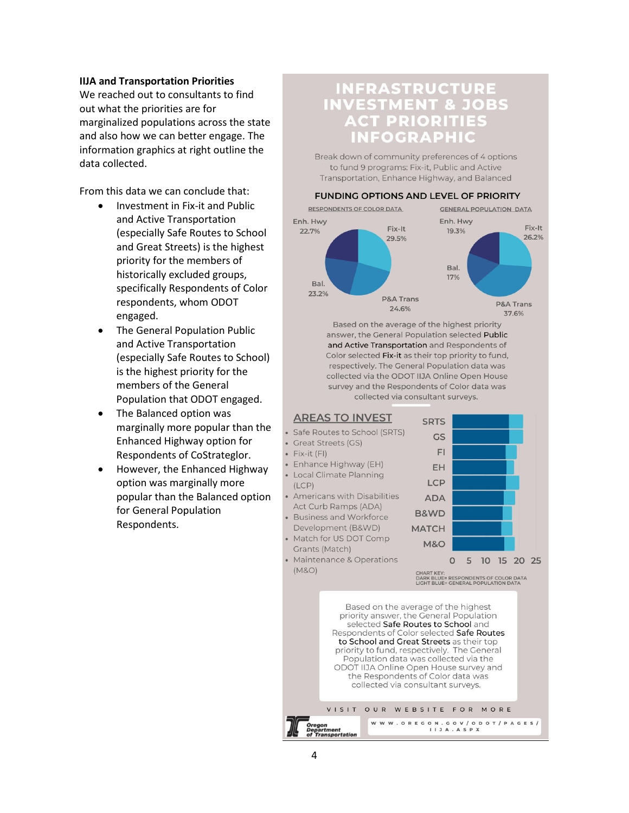#### **IIJA and Transportation Priorities**

We reached out to consultants to find out what the priorities are for marginalized populations across the state and also how we can better engage. The information graphics at right outline the data collected.

From this data we can conclude that:

- Investment in Fix-it and Public and Active Transportation (especially Safe Routes to School and Great Streets) is the highest priority for the members of historically excluded groups, specifically Respondents of Color respondents, whom ODOT engaged.
- The General Population Public and Active Transportation (especially Safe Routes to School) is the highest priority for the members of the General Population that ODOT engaged.
- The Balanced option was marginally more popular than the Enhanced Highway option for Respondents of CoStrateglor.
- However, the Enhanced Highway option was marginally more popular than the Balanced option for General Population Respondents.

## **INFRASTRUCTURE INVESTMENT & JOBS ACT PRIORITIES INFOGRAPHIC**

Break down of community preferences of 4 options to fund 9 programs: Fix-it, Public and Active Transportation, Enhance Highway, and Balanced

#### **FUNDING OPTIONS AND LEVEL OF PRIORITY**



Based on the average of the highest priority answer, the General Population selected Public and Active Transportation and Respondents of Color selected Fix-it as their top priority to fund, respectively. The General Population data was collected via the ODOT IIJA Online Open House survey and the Respondents of Color data was collected via consultant surveys.



VISIT OUR WEBSITE FOR MORE

WWW.OREGON.GOV/ODOT/PAGES/

epartment<br>' Transportation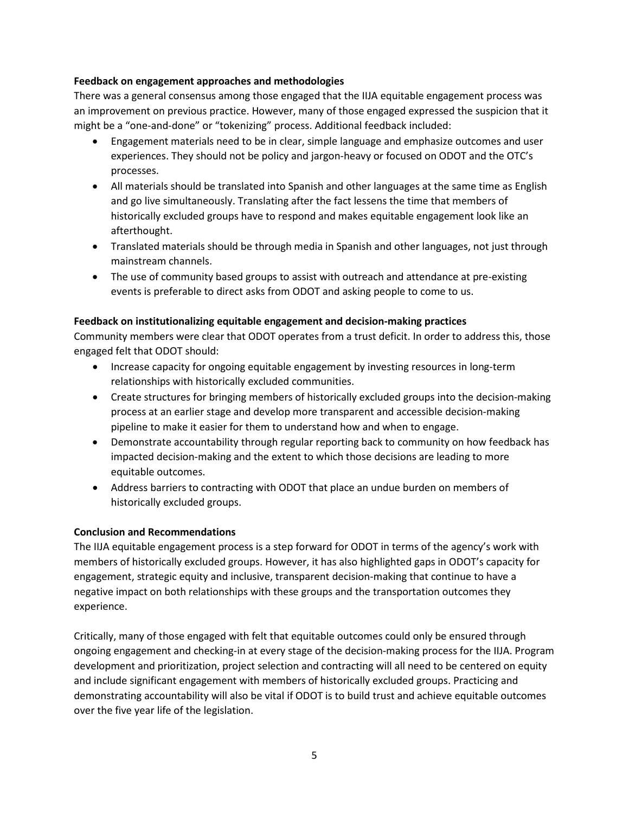#### **Feedback on engagement approaches and methodologies**

There was a general consensus among those engaged that the IIJA equitable engagement process was an improvement on previous practice. However, many of those engaged expressed the suspicion that it might be a "one-and-done" or "tokenizing" process. Additional feedback included:

- Engagement materials need to be in clear, simple language and emphasize outcomes and user experiences. They should not be policy and jargon-heavy or focused on ODOT and the OTC's processes.
- All materials should be translated into Spanish and other languages at the same time as English and go live simultaneously. Translating after the fact lessens the time that members of historically excluded groups have to respond and makes equitable engagement look like an afterthought.
- Translated materials should be through media in Spanish and other languages, not just through mainstream channels.
- The use of community based groups to assist with outreach and attendance at pre-existing events is preferable to direct asks from ODOT and asking people to come to us.

#### **Feedback on institutionalizing equitable engagement and decision-making practices**

Community members were clear that ODOT operates from a trust deficit. In order to address this, those engaged felt that ODOT should:

- Increase capacity for ongoing equitable engagement by investing resources in long-term relationships with historically excluded communities.
- Create structures for bringing members of historically excluded groups into the decision-making process at an earlier stage and develop more transparent and accessible decision-making pipeline to make it easier for them to understand how and when to engage.
- Demonstrate accountability through regular reporting back to community on how feedback has impacted decision-making and the extent to which those decisions are leading to more equitable outcomes.
- Address barriers to contracting with ODOT that place an undue burden on members of historically excluded groups.

#### **Conclusion and Recommendations**

The IIJA equitable engagement process is a step forward for ODOT in terms of the agency's work with members of historically excluded groups. However, it has also highlighted gaps in ODOT's capacity for engagement, strategic equity and inclusive, transparent decision-making that continue to have a negative impact on both relationships with these groups and the transportation outcomes they experience.

Critically, many of those engaged with felt that equitable outcomes could only be ensured through ongoing engagement and checking-in at every stage of the decision-making process for the IIJA. Program development and prioritization, project selection and contracting will all need to be centered on equity and include significant engagement with members of historically excluded groups. Practicing and demonstrating accountability will also be vital if ODOT is to build trust and achieve equitable outcomes over the five year life of the legislation.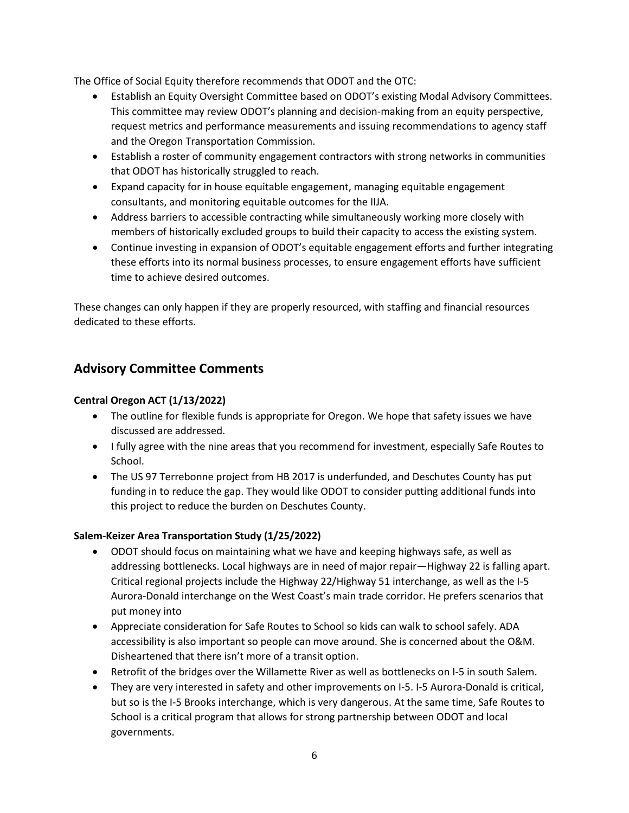The Office of Social Equity therefore recommends that ODOT and the OTC:

- Establish an Equity Oversight Committee based on ODOT's existing Modal Advisory Committees. This committee may review ODOT's planning and decision-making from an equity perspective, request metrics and performance measurements and issuing recommendations to agency staff and the Oregon Transportation Commission.
- Establish a roster of community engagement contractors with strong networks in communities that ODOT has historically struggled to reach.
- Expand capacity for in house equitable engagement, managing equitable engagement consultants, and monitoring equitable outcomes for the IIJA.
- Address barriers to accessible contracting while simultaneously working more closely with members of historically excluded groups to build their capacity to access the existing system.
- Continue investing in expansion of ODOT's equitable engagement efforts and further integrating these efforts into its normal business processes, to ensure engagement efforts have sufficient time to achieve desired outcomes.

These changes can only happen if they are properly resourced, with staffing and financial resources dedicated to these efforts.

## **Advisory Committee Comments**

#### **Central Oregon ACT (1/13/2022)**

- The outline for flexible funds is appropriate for Oregon. We hope that safety issues we have discussed are addressed.
- I fully agree with the nine areas that you recommend for investment, especially Safe Routes to School.
- The US 97 Terrebonne project from HB 2017 is underfunded, and Deschutes County has put funding in to reduce the gap. They would like ODOT to consider putting additional funds into this project to reduce the burden on Deschutes County.

#### **Salem-Keizer Area Transportation Study (1/25/2022)**

- ODOT should focus on maintaining what we have and keeping highways safe, as well as addressing bottlenecks. Local highways are in need of major repair—Highway 22 is falling apart. Critical regional projects include the Highway 22/Highway 51 interchange, as well as the I-5 Aurora-Donald interchange on the West Coast's main trade corridor. He prefers scenarios that put money into
- Appreciate consideration for Safe Routes to School so kids can walk to school safely. ADA accessibility is also important so people can move around. She is concerned about the O&M. Disheartened that there isn't more of a transit option.
- Retrofit of the bridges over the Willamette River as well as bottlenecks on I-5 in south Salem.
- They are very interested in safety and other improvements on I-5. I-5 Aurora-Donald is critical, but so is the I-5 Brooks interchange, which is very dangerous. At the same time, Safe Routes to School is a critical program that allows for strong partnership between ODOT and local governments.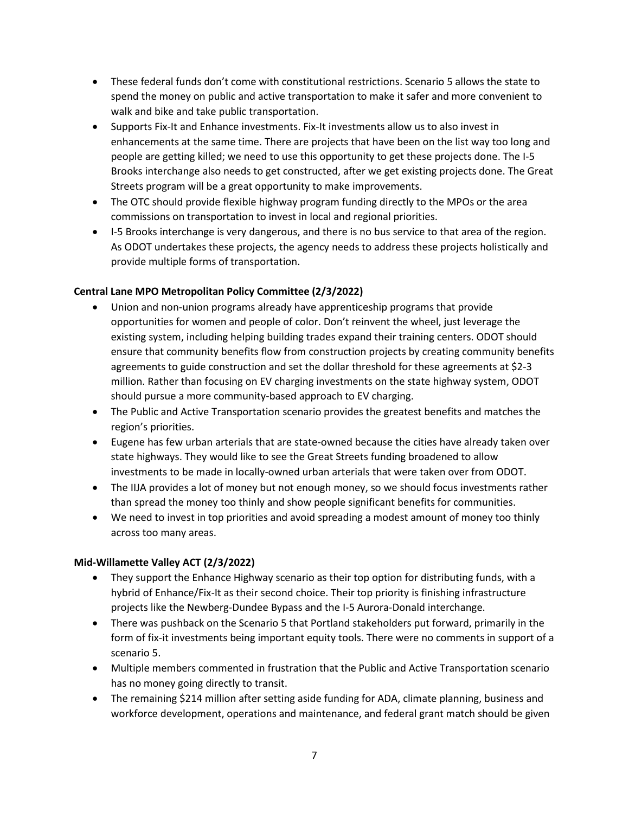- These federal funds don't come with constitutional restrictions. Scenario 5 allows the state to spend the money on public and active transportation to make it safer and more convenient to walk and bike and take public transportation.
- Supports Fix-It and Enhance investments. Fix-It investments allow us to also invest in enhancements at the same time. There are projects that have been on the list way too long and people are getting killed; we need to use this opportunity to get these projects done. The I-5 Brooks interchange also needs to get constructed, after we get existing projects done. The Great Streets program will be a great opportunity to make improvements.
- The OTC should provide flexible highway program funding directly to the MPOs or the area commissions on transportation to invest in local and regional priorities.
- I-5 Brooks interchange is very dangerous, and there is no bus service to that area of the region. As ODOT undertakes these projects, the agency needs to address these projects holistically and provide multiple forms of transportation.

#### **Central Lane MPO Metropolitan Policy Committee (2/3/2022)**

- Union and non-union programs already have apprenticeship programs that provide opportunities for women and people of color. Don't reinvent the wheel, just leverage the existing system, including helping building trades expand their training centers. ODOT should ensure that community benefits flow from construction projects by creating community benefits agreements to guide construction and set the dollar threshold for these agreements at \$2-3 million. Rather than focusing on EV charging investments on the state highway system, ODOT should pursue a more community-based approach to EV charging.
- The Public and Active Transportation scenario provides the greatest benefits and matches the region's priorities.
- Eugene has few urban arterials that are state-owned because the cities have already taken over state highways. They would like to see the Great Streets funding broadened to allow investments to be made in locally-owned urban arterials that were taken over from ODOT.
- The IIJA provides a lot of money but not enough money, so we should focus investments rather than spread the money too thinly and show people significant benefits for communities.
- We need to invest in top priorities and avoid spreading a modest amount of money too thinly across too many areas.

#### **Mid-Willamette Valley ACT (2/3/2022)**

- They support the Enhance Highway scenario as their top option for distributing funds, with a hybrid of Enhance/Fix-It as their second choice. Their top priority is finishing infrastructure projects like the Newberg-Dundee Bypass and the I-5 Aurora-Donald interchange.
- There was pushback on the Scenario 5 that Portland stakeholders put forward, primarily in the form of fix-it investments being important equity tools. There were no comments in support of a scenario 5.
- Multiple members commented in frustration that the Public and Active Transportation scenario has no money going directly to transit.
- The remaining \$214 million after setting aside funding for ADA, climate planning, business and workforce development, operations and maintenance, and federal grant match should be given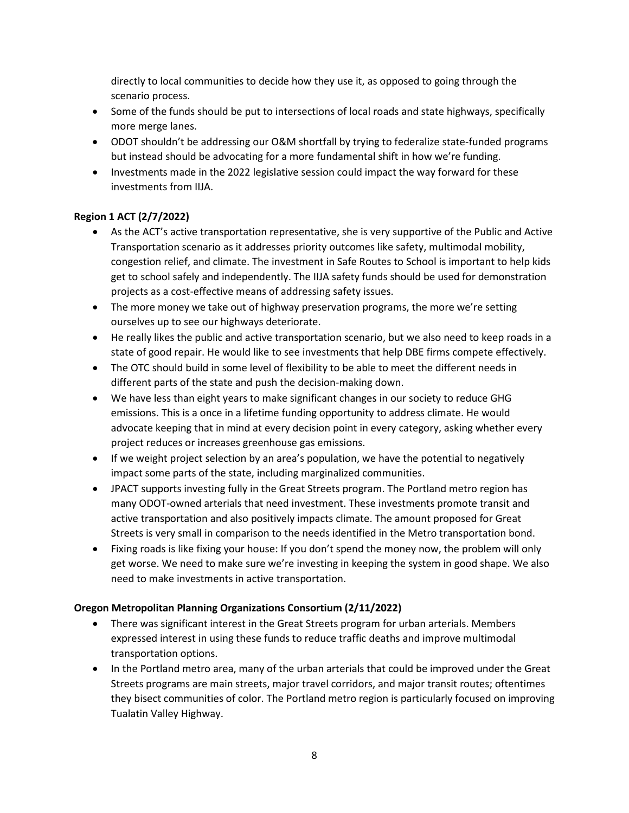directly to local communities to decide how they use it, as opposed to going through the scenario process.

- Some of the funds should be put to intersections of local roads and state highways, specifically more merge lanes.
- ODOT shouldn't be addressing our O&M shortfall by trying to federalize state-funded programs but instead should be advocating for a more fundamental shift in how we're funding.
- Investments made in the 2022 legislative session could impact the way forward for these investments from IIJA.

### **Region 1 ACT (2/7/2022)**

- As the ACT's active transportation representative, she is very supportive of the Public and Active Transportation scenario as it addresses priority outcomes like safety, multimodal mobility, congestion relief, and climate. The investment in Safe Routes to School is important to help kids get to school safely and independently. The IIJA safety funds should be used for demonstration projects as a cost-effective means of addressing safety issues.
- The more money we take out of highway preservation programs, the more we're setting ourselves up to see our highways deteriorate.
- He really likes the public and active transportation scenario, but we also need to keep roads in a state of good repair. He would like to see investments that help DBE firms compete effectively.
- The OTC should build in some level of flexibility to be able to meet the different needs in different parts of the state and push the decision-making down.
- We have less than eight years to make significant changes in our society to reduce GHG emissions. This is a once in a lifetime funding opportunity to address climate. He would advocate keeping that in mind at every decision point in every category, asking whether every project reduces or increases greenhouse gas emissions.
- If we weight project selection by an area's population, we have the potential to negatively impact some parts of the state, including marginalized communities.
- JPACT supports investing fully in the Great Streets program. The Portland metro region has many ODOT-owned arterials that need investment. These investments promote transit and active transportation and also positively impacts climate. The amount proposed for Great Streets is very small in comparison to the needs identified in the Metro transportation bond.
- Fixing roads is like fixing your house: If you don't spend the money now, the problem will only get worse. We need to make sure we're investing in keeping the system in good shape. We also need to make investments in active transportation.

#### **Oregon Metropolitan Planning Organizations Consortium (2/11/2022)**

- There was significant interest in the Great Streets program for urban arterials. Members expressed interest in using these funds to reduce traffic deaths and improve multimodal transportation options.
- In the Portland metro area, many of the urban arterials that could be improved under the Great Streets programs are main streets, major travel corridors, and major transit routes; oftentimes they bisect communities of color. The Portland metro region is particularly focused on improving Tualatin Valley Highway.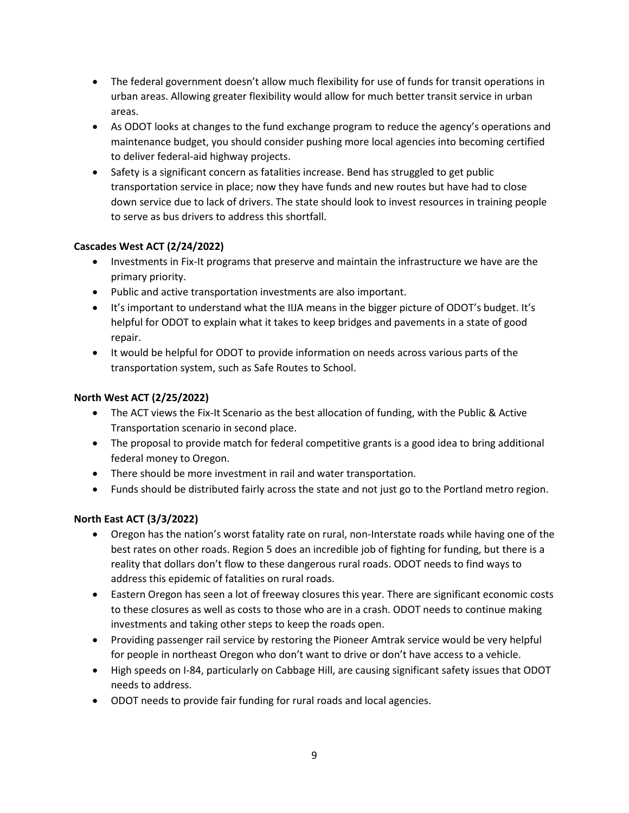- The federal government doesn't allow much flexibility for use of funds for transit operations in urban areas. Allowing greater flexibility would allow for much better transit service in urban areas.
- As ODOT looks at changes to the fund exchange program to reduce the agency's operations and maintenance budget, you should consider pushing more local agencies into becoming certified to deliver federal-aid highway projects.
- Safety is a significant concern as fatalities increase. Bend has struggled to get public transportation service in place; now they have funds and new routes but have had to close down service due to lack of drivers. The state should look to invest resources in training people to serve as bus drivers to address this shortfall.

#### **Cascades West ACT (2/24/2022)**

- Investments in Fix-It programs that preserve and maintain the infrastructure we have are the primary priority.
- Public and active transportation investments are also important.
- It's important to understand what the IIJA means in the bigger picture of ODOT's budget. It's helpful for ODOT to explain what it takes to keep bridges and pavements in a state of good repair.
- It would be helpful for ODOT to provide information on needs across various parts of the transportation system, such as Safe Routes to School.

#### **North West ACT (2/25/2022)**

- The ACT views the Fix-It Scenario as the best allocation of funding, with the Public & Active Transportation scenario in second place.
- The proposal to provide match for federal competitive grants is a good idea to bring additional federal money to Oregon.
- There should be more investment in rail and water transportation.
- Funds should be distributed fairly across the state and not just go to the Portland metro region.

#### **North East ACT (3/3/2022)**

- Oregon has the nation's worst fatality rate on rural, non-Interstate roads while having one of the best rates on other roads. Region 5 does an incredible job of fighting for funding, but there is a reality that dollars don't flow to these dangerous rural roads. ODOT needs to find ways to address this epidemic of fatalities on rural roads.
- Eastern Oregon has seen a lot of freeway closures this year. There are significant economic costs to these closures as well as costs to those who are in a crash. ODOT needs to continue making investments and taking other steps to keep the roads open.
- Providing passenger rail service by restoring the Pioneer Amtrak service would be very helpful for people in northeast Oregon who don't want to drive or don't have access to a vehicle.
- High speeds on I-84, particularly on Cabbage Hill, are causing significant safety issues that ODOT needs to address.
- ODOT needs to provide fair funding for rural roads and local agencies.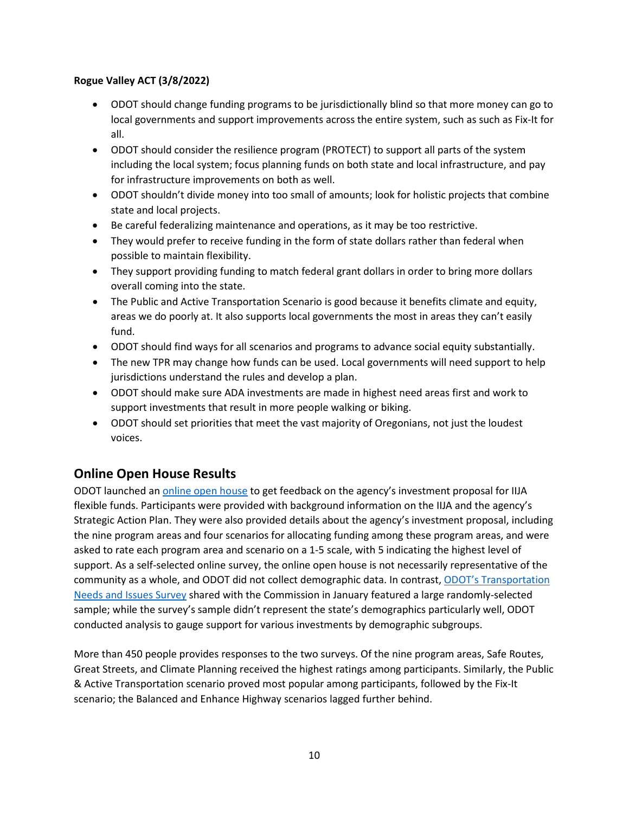#### **Rogue Valley ACT (3/8/2022)**

- ODOT should change funding programs to be jurisdictionally blind so that more money can go to local governments and support improvements across the entire system, such as such as Fix-It for all.
- ODOT should consider the resilience program (PROTECT) to support all parts of the system including the local system; focus planning funds on both state and local infrastructure, and pay for infrastructure improvements on both as well.
- ODOT shouldn't divide money into too small of amounts; look for holistic projects that combine state and local projects.
- Be careful federalizing maintenance and operations, as it may be too restrictive.
- They would prefer to receive funding in the form of state dollars rather than federal when possible to maintain flexibility.
- They support providing funding to match federal grant dollars in order to bring more dollars overall coming into the state.
- The Public and Active Transportation Scenario is good because it benefits climate and equity, areas we do poorly at. It also supports local governments the most in areas they can't easily fund.
- ODOT should find ways for all scenarios and programs to advance social equity substantially.
- The new TPR may change how funds can be used. Local governments will need support to help jurisdictions understand the rules and develop a plan.
- ODOT should make sure ADA investments are made in highest need areas first and work to support investments that result in more people walking or biking.
- ODOT should set priorities that meet the vast majority of Oregonians, not just the loudest voices.

## **Online Open House Results**

ODOT launched an [online open house](https://odotopenhouse.org/infrastructure-investment-and-jobs-act) to get feedback on the agency's investment proposal for IIJA flexible funds. Participants were provided with background information on the IIJA and the agency's Strategic Action Plan. They were also provided details about the agency's investment proposal, including the nine program areas and four scenarios for allocating funding among these program areas, and were asked to rate each program area and scenario on a 1-5 scale, with 5 indicating the highest level of support. As a self-selected online survey, the online open house is not necessarily representative of the community as a whole, and ODOT did not collect demographic data. In contrast, [ODOT's Transportation](https://www.oregon.gov/odot/Get-Involved/OTCSupportMaterials/Agenda_K_IIJA_PACKET.pdf)  [Needs and Issues Survey](https://www.oregon.gov/odot/Get-Involved/OTCSupportMaterials/Agenda_K_IIJA_PACKET.pdf) shared with the Commission in January featured a large randomly-selected sample; while the survey's sample didn't represent the state's demographics particularly well, ODOT conducted analysis to gauge support for various investments by demographic subgroups.

More than 450 people provides responses to the two surveys. Of the nine program areas, Safe Routes, Great Streets, and Climate Planning received the highest ratings among participants. Similarly, the Public & Active Transportation scenario proved most popular among participants, followed by the Fix-It scenario; the Balanced and Enhance Highway scenarios lagged further behind.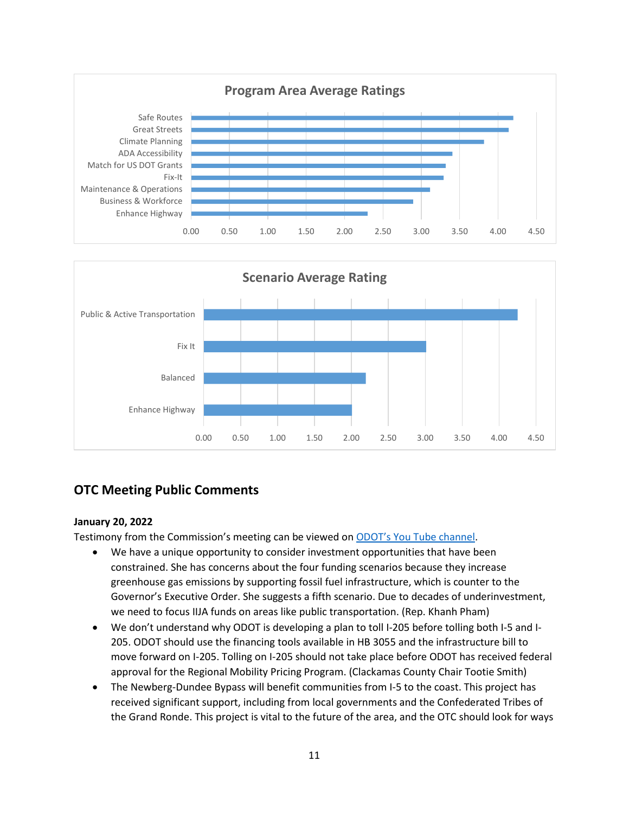



## **OTC Meeting Public Comments**

#### **January 20, 2022**

Testimony from the Commission's meeting can be viewed on [ODOT's You Tube channel.](https://www.youtube.com/watch?v=hH1oBo7sCio)

- We have a unique opportunity to consider investment opportunities that have been constrained. She has concerns about the four funding scenarios because they increase greenhouse gas emissions by supporting fossil fuel infrastructure, which is counter to the Governor's Executive Order. She suggests a fifth scenario. Due to decades of underinvestment, we need to focus IIJA funds on areas like public transportation. (Rep. Khanh Pham)
- We don't understand why ODOT is developing a plan to toll I-205 before tolling both I-5 and I-205. ODOT should use the financing tools available in HB 3055 and the infrastructure bill to move forward on I-205. Tolling on I-205 should not take place before ODOT has received federal approval for the Regional Mobility Pricing Program. (Clackamas County Chair Tootie Smith)
- The Newberg-Dundee Bypass will benefit communities from I-5 to the coast. This project has received significant support, including from local governments and the Confederated Tribes of the Grand Ronde. This project is vital to the future of the area, and the OTC should look for ways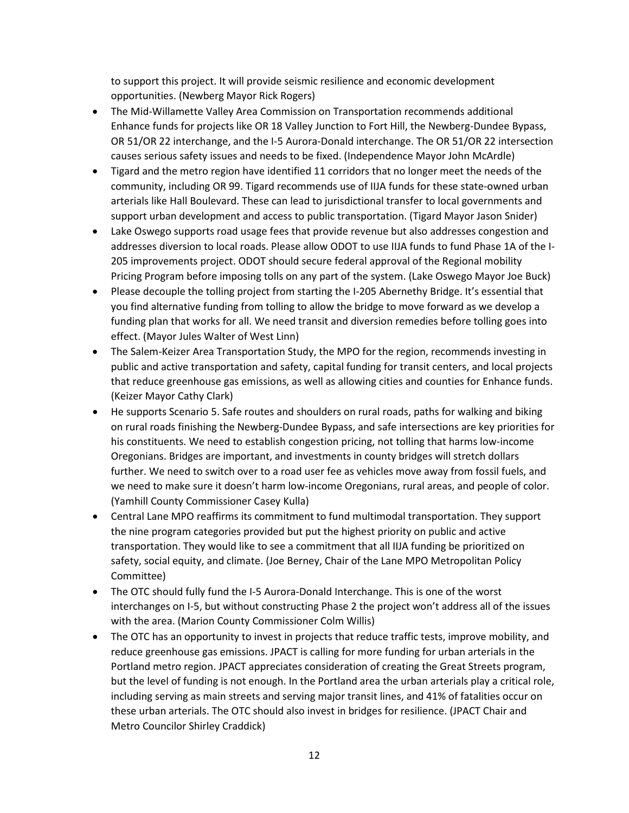to support this project. It will provide seismic resilience and economic development opportunities. (Newberg Mayor Rick Rogers)

- The Mid-Willamette Valley Area Commission on Transportation recommends additional Enhance funds for projects like OR 18 Valley Junction to Fort Hill, the Newberg-Dundee Bypass, OR 51/OR 22 interchange, and the I-5 Aurora-Donald interchange. The OR 51/OR 22 intersection causes serious safety issues and needs to be fixed. (Independence Mayor John McArdle)
- Tigard and the metro region have identified 11 corridors that no longer meet the needs of the community, including OR 99. Tigard recommends use of IIJA funds for these state-owned urban arterials like Hall Boulevard. These can lead to jurisdictional transfer to local governments and support urban development and access to public transportation. (Tigard Mayor Jason Snider)
- Lake Oswego supports road usage fees that provide revenue but also addresses congestion and addresses diversion to local roads. Please allow ODOT to use IIJA funds to fund Phase 1A of the I-205 improvements project. ODOT should secure federal approval of the Regional mobility Pricing Program before imposing tolls on any part of the system. (Lake Oswego Mayor Joe Buck)
- Please decouple the tolling project from starting the I-205 Abernethy Bridge. It's essential that you find alternative funding from tolling to allow the bridge to move forward as we develop a funding plan that works for all. We need transit and diversion remedies before tolling goes into effect. (Mayor Jules Walter of West Linn)
- The Salem-Keizer Area Transportation Study, the MPO for the region, recommends investing in public and active transportation and safety, capital funding for transit centers, and local projects that reduce greenhouse gas emissions, as well as allowing cities and counties for Enhance funds. (Keizer Mayor Cathy Clark)
- He supports Scenario 5. Safe routes and shoulders on rural roads, paths for walking and biking on rural roads finishing the Newberg-Dundee Bypass, and safe intersections are key priorities for his constituents. We need to establish congestion pricing, not tolling that harms low-income Oregonians. Bridges are important, and investments in county bridges will stretch dollars further. We need to switch over to a road user fee as vehicles move away from fossil fuels, and we need to make sure it doesn't harm low-income Oregonians, rural areas, and people of color. (Yamhill County Commissioner Casey Kulla)
- Central Lane MPO reaffirms its commitment to fund multimodal transportation. They support the nine program categories provided but put the highest priority on public and active transportation. They would like to see a commitment that all IIJA funding be prioritized on safety, social equity, and climate. (Joe Berney, Chair of the Lane MPO Metropolitan Policy Committee)
- The OTC should fully fund the I-5 Aurora-Donald Interchange. This is one of the worst interchanges on I-5, but without constructing Phase 2 the project won't address all of the issues with the area. (Marion County Commissioner Colm Willis)
- The OTC has an opportunity to invest in projects that reduce traffic tests, improve mobility, and reduce greenhouse gas emissions. JPACT is calling for more funding for urban arterials in the Portland metro region. JPACT appreciates consideration of creating the Great Streets program, but the level of funding is not enough. In the Portland area the urban arterials play a critical role, including serving as main streets and serving major transit lines, and 41% of fatalities occur on these urban arterials. The OTC should also invest in bridges for resilience. (JPACT Chair and Metro Councilor Shirley Craddick)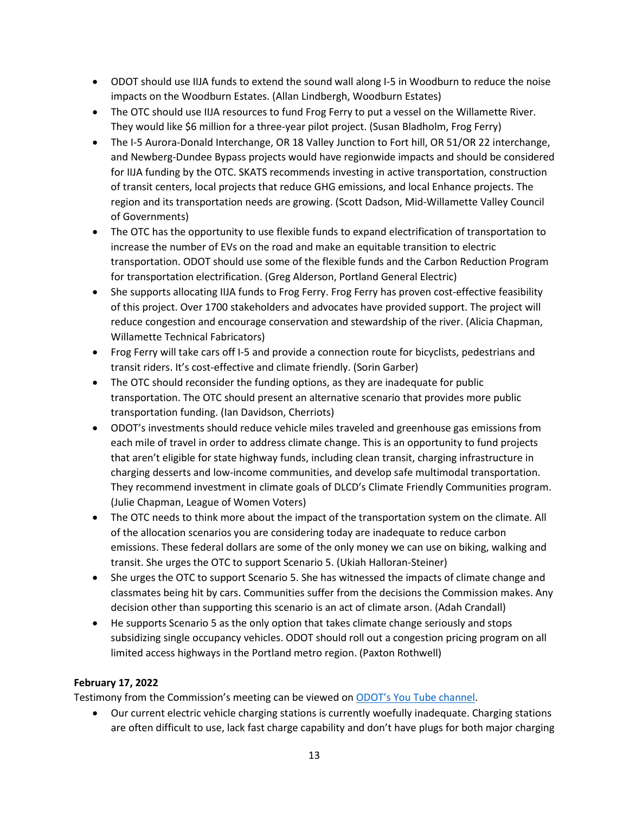- ODOT should use IIJA funds to extend the sound wall along I-5 in Woodburn to reduce the noise impacts on the Woodburn Estates. (Allan Lindbergh, Woodburn Estates)
- The OTC should use IIJA resources to fund Frog Ferry to put a vessel on the Willamette River. They would like \$6 million for a three-year pilot project. (Susan Bladholm, Frog Ferry)
- The I-5 Aurora-Donald Interchange, OR 18 Valley Junction to Fort hill, OR 51/OR 22 interchange, and Newberg-Dundee Bypass projects would have regionwide impacts and should be considered for IIJA funding by the OTC. SKATS recommends investing in active transportation, construction of transit centers, local projects that reduce GHG emissions, and local Enhance projects. The region and its transportation needs are growing. (Scott Dadson, Mid-Willamette Valley Council of Governments)
- The OTC has the opportunity to use flexible funds to expand electrification of transportation to increase the number of EVs on the road and make an equitable transition to electric transportation. ODOT should use some of the flexible funds and the Carbon Reduction Program for transportation electrification. (Greg Alderson, Portland General Electric)
- She supports allocating IIJA funds to Frog Ferry. Frog Ferry has proven cost-effective feasibility of this project. Over 1700 stakeholders and advocates have provided support. The project will reduce congestion and encourage conservation and stewardship of the river. (Alicia Chapman, Willamette Technical Fabricators)
- Frog Ferry will take cars off I-5 and provide a connection route for bicyclists, pedestrians and transit riders. It's cost-effective and climate friendly. (Sorin Garber)
- The OTC should reconsider the funding options, as they are inadequate for public transportation. The OTC should present an alternative scenario that provides more public transportation funding. (Ian Davidson, Cherriots)
- ODOT's investments should reduce vehicle miles traveled and greenhouse gas emissions from each mile of travel in order to address climate change. This is an opportunity to fund projects that aren't eligible for state highway funds, including clean transit, charging infrastructure in charging desserts and low-income communities, and develop safe multimodal transportation. They recommend investment in climate goals of DLCD's Climate Friendly Communities program. (Julie Chapman, League of Women Voters)
- The OTC needs to think more about the impact of the transportation system on the climate. All of the allocation scenarios you are considering today are inadequate to reduce carbon emissions. These federal dollars are some of the only money we can use on biking, walking and transit. She urges the OTC to support Scenario 5. (Ukiah Halloran-Steiner)
- She urges the OTC to support Scenario 5. She has witnessed the impacts of climate change and classmates being hit by cars. Communities suffer from the decisions the Commission makes. Any decision other than supporting this scenario is an act of climate arson. (Adah Crandall)
- He supports Scenario 5 as the only option that takes climate change seriously and stops subsidizing single occupancy vehicles. ODOT should roll out a congestion pricing program on all limited access highways in the Portland metro region. (Paxton Rothwell)

#### **February 17, 2022**

Testimony from the Commission's meeting can be viewed on [ODOT's You Tube channel.](https://www.youtube.com/watch?v=BhLpFNSrncQ)

• Our current electric vehicle charging stations is currently woefully inadequate. Charging stations are often difficult to use, lack fast charge capability and don't have plugs for both major charging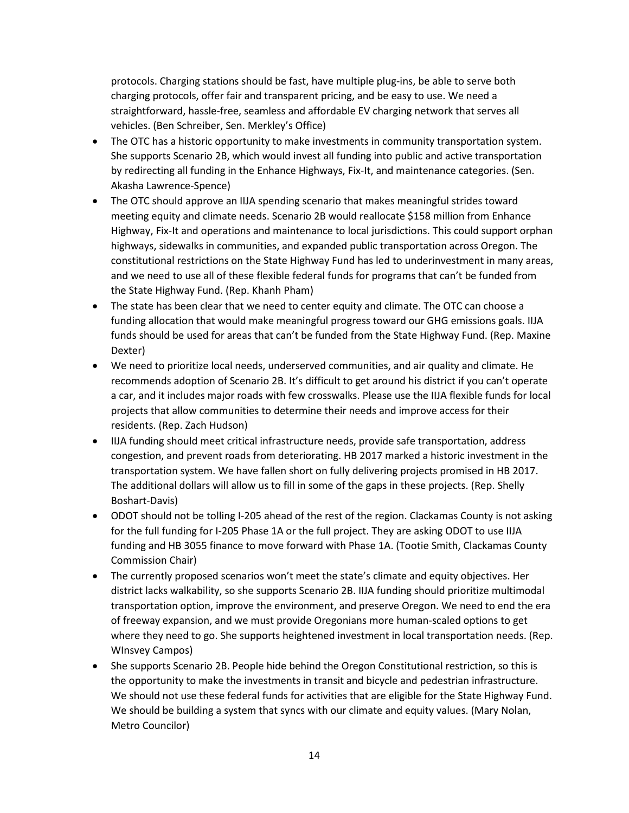protocols. Charging stations should be fast, have multiple plug-ins, be able to serve both charging protocols, offer fair and transparent pricing, and be easy to use. We need a straightforward, hassle-free, seamless and affordable EV charging network that serves all vehicles. (Ben Schreiber, Sen. Merkley's Office)

- The OTC has a historic opportunity to make investments in community transportation system. She supports Scenario 2B, which would invest all funding into public and active transportation by redirecting all funding in the Enhance Highways, Fix-It, and maintenance categories. (Sen. Akasha Lawrence-Spence)
- The OTC should approve an IIJA spending scenario that makes meaningful strides toward meeting equity and climate needs. Scenario 2B would reallocate \$158 million from Enhance Highway, Fix-It and operations and maintenance to local jurisdictions. This could support orphan highways, sidewalks in communities, and expanded public transportation across Oregon. The constitutional restrictions on the State Highway Fund has led to underinvestment in many areas, and we need to use all of these flexible federal funds for programs that can't be funded from the State Highway Fund. (Rep. Khanh Pham)
- The state has been clear that we need to center equity and climate. The OTC can choose a funding allocation that would make meaningful progress toward our GHG emissions goals. IIJA funds should be used for areas that can't be funded from the State Highway Fund. (Rep. Maxine Dexter)
- We need to prioritize local needs, underserved communities, and air quality and climate. He recommends adoption of Scenario 2B. It's difficult to get around his district if you can't operate a car, and it includes major roads with few crosswalks. Please use the IIJA flexible funds for local projects that allow communities to determine their needs and improve access for their residents. (Rep. Zach Hudson)
- IIJA funding should meet critical infrastructure needs, provide safe transportation, address congestion, and prevent roads from deteriorating. HB 2017 marked a historic investment in the transportation system. We have fallen short on fully delivering projects promised in HB 2017. The additional dollars will allow us to fill in some of the gaps in these projects. (Rep. Shelly Boshart-Davis)
- ODOT should not be tolling I-205 ahead of the rest of the region. Clackamas County is not asking for the full funding for I-205 Phase 1A or the full project. They are asking ODOT to use IIJA funding and HB 3055 finance to move forward with Phase 1A. (Tootie Smith, Clackamas County Commission Chair)
- The currently proposed scenarios won't meet the state's climate and equity objectives. Her district lacks walkability, so she supports Scenario 2B. IIJA funding should prioritize multimodal transportation option, improve the environment, and preserve Oregon. We need to end the era of freeway expansion, and we must provide Oregonians more human-scaled options to get where they need to go. She supports heightened investment in local transportation needs. (Rep. WInsvey Campos)
- She supports Scenario 2B. People hide behind the Oregon Constitutional restriction, so this is the opportunity to make the investments in transit and bicycle and pedestrian infrastructure. We should not use these federal funds for activities that are eligible for the State Highway Fund. We should be building a system that syncs with our climate and equity values. (Mary Nolan, Metro Councilor)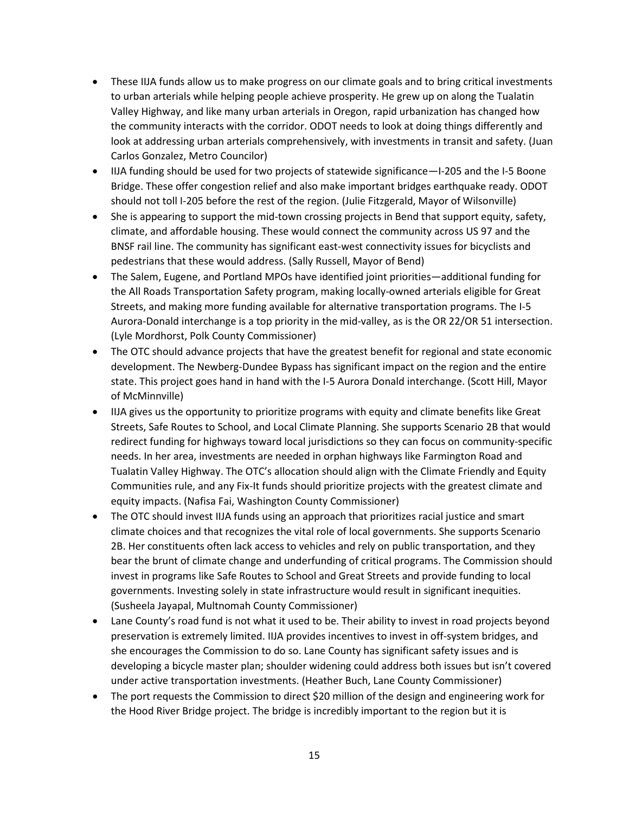- These IIJA funds allow us to make progress on our climate goals and to bring critical investments to urban arterials while helping people achieve prosperity. He grew up on along the Tualatin Valley Highway, and like many urban arterials in Oregon, rapid urbanization has changed how the community interacts with the corridor. ODOT needs to look at doing things differently and look at addressing urban arterials comprehensively, with investments in transit and safety. (Juan Carlos Gonzalez, Metro Councilor)
- IIJA funding should be used for two projects of statewide significance—I-205 and the I-5 Boone Bridge. These offer congestion relief and also make important bridges earthquake ready. ODOT should not toll I-205 before the rest of the region. (Julie Fitzgerald, Mayor of Wilsonville)
- She is appearing to support the mid-town crossing projects in Bend that support equity, safety, climate, and affordable housing. These would connect the community across US 97 and the BNSF rail line. The community has significant east-west connectivity issues for bicyclists and pedestrians that these would address. (Sally Russell, Mayor of Bend)
- The Salem, Eugene, and Portland MPOs have identified joint priorities—additional funding for the All Roads Transportation Safety program, making locally-owned arterials eligible for Great Streets, and making more funding available for alternative transportation programs. The I-5 Aurora-Donald interchange is a top priority in the mid-valley, as is the OR 22/OR 51 intersection. (Lyle Mordhorst, Polk County Commissioner)
- The OTC should advance projects that have the greatest benefit for regional and state economic development. The Newberg-Dundee Bypass has significant impact on the region and the entire state. This project goes hand in hand with the I-5 Aurora Donald interchange. (Scott Hill, Mayor of McMinnville)
- IIJA gives us the opportunity to prioritize programs with equity and climate benefits like Great Streets, Safe Routes to School, and Local Climate Planning. She supports Scenario 2B that would redirect funding for highways toward local jurisdictions so they can focus on community-specific needs. In her area, investments are needed in orphan highways like Farmington Road and Tualatin Valley Highway. The OTC's allocation should align with the Climate Friendly and Equity Communities rule, and any Fix-It funds should prioritize projects with the greatest climate and equity impacts. (Nafisa Fai, Washington County Commissioner)
- The OTC should invest IIJA funds using an approach that prioritizes racial justice and smart climate choices and that recognizes the vital role of local governments. She supports Scenario 2B. Her constituents often lack access to vehicles and rely on public transportation, and they bear the brunt of climate change and underfunding of critical programs. The Commission should invest in programs like Safe Routes to School and Great Streets and provide funding to local governments. Investing solely in state infrastructure would result in significant inequities. (Susheela Jayapal, Multnomah County Commissioner)
- Lane County's road fund is not what it used to be. Their ability to invest in road projects beyond preservation is extremely limited. IIJA provides incentives to invest in off-system bridges, and she encourages the Commission to do so. Lane County has significant safety issues and is developing a bicycle master plan; shoulder widening could address both issues but isn't covered under active transportation investments. (Heather Buch, Lane County Commissioner)
- The port requests the Commission to direct \$20 million of the design and engineering work for the Hood River Bridge project. The bridge is incredibly important to the region but it is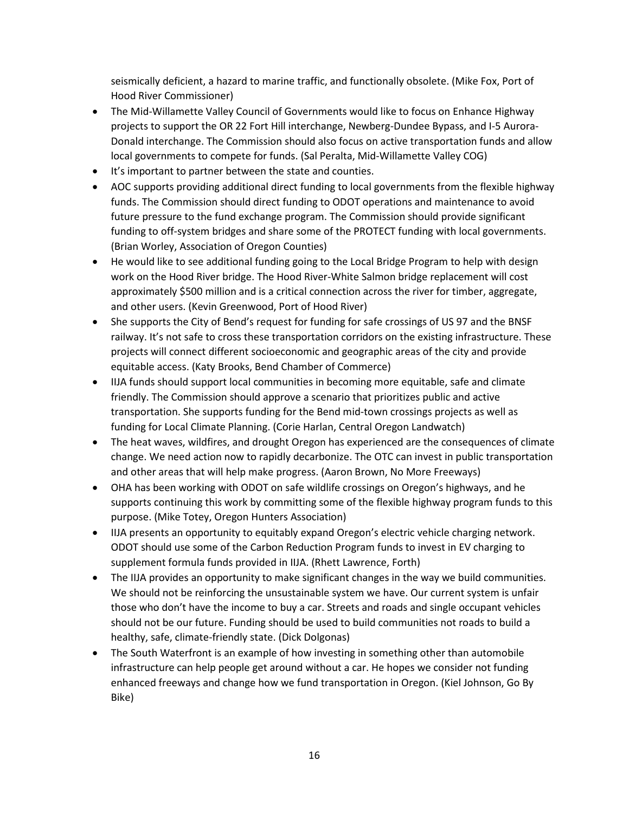seismically deficient, a hazard to marine traffic, and functionally obsolete. (Mike Fox, Port of Hood River Commissioner)

- The Mid-Willamette Valley Council of Governments would like to focus on Enhance Highway projects to support the OR 22 Fort Hill interchange, Newberg-Dundee Bypass, and I-5 Aurora-Donald interchange. The Commission should also focus on active transportation funds and allow local governments to compete for funds. (Sal Peralta, Mid-Willamette Valley COG)
- It's important to partner between the state and counties.
- AOC supports providing additional direct funding to local governments from the flexible highway funds. The Commission should direct funding to ODOT operations and maintenance to avoid future pressure to the fund exchange program. The Commission should provide significant funding to off-system bridges and share some of the PROTECT funding with local governments. (Brian Worley, Association of Oregon Counties)
- He would like to see additional funding going to the Local Bridge Program to help with design work on the Hood River bridge. The Hood River-White Salmon bridge replacement will cost approximately \$500 million and is a critical connection across the river for timber, aggregate, and other users. (Kevin Greenwood, Port of Hood River)
- She supports the City of Bend's request for funding for safe crossings of US 97 and the BNSF railway. It's not safe to cross these transportation corridors on the existing infrastructure. These projects will connect different socioeconomic and geographic areas of the city and provide equitable access. (Katy Brooks, Bend Chamber of Commerce)
- IIJA funds should support local communities in becoming more equitable, safe and climate friendly. The Commission should approve a scenario that prioritizes public and active transportation. She supports funding for the Bend mid-town crossings projects as well as funding for Local Climate Planning. (Corie Harlan, Central Oregon Landwatch)
- The heat waves, wildfires, and drought Oregon has experienced are the consequences of climate change. We need action now to rapidly decarbonize. The OTC can invest in public transportation and other areas that will help make progress. (Aaron Brown, No More Freeways)
- OHA has been working with ODOT on safe wildlife crossings on Oregon's highways, and he supports continuing this work by committing some of the flexible highway program funds to this purpose. (Mike Totey, Oregon Hunters Association)
- IIJA presents an opportunity to equitably expand Oregon's electric vehicle charging network. ODOT should use some of the Carbon Reduction Program funds to invest in EV charging to supplement formula funds provided in IIJA. (Rhett Lawrence, Forth)
- The IIJA provides an opportunity to make significant changes in the way we build communities. We should not be reinforcing the unsustainable system we have. Our current system is unfair those who don't have the income to buy a car. Streets and roads and single occupant vehicles should not be our future. Funding should be used to build communities not roads to build a healthy, safe, climate-friendly state. (Dick Dolgonas)
- The South Waterfront is an example of how investing in something other than automobile infrastructure can help people get around without a car. He hopes we consider not funding enhanced freeways and change how we fund transportation in Oregon. (Kiel Johnson, Go By Bike)